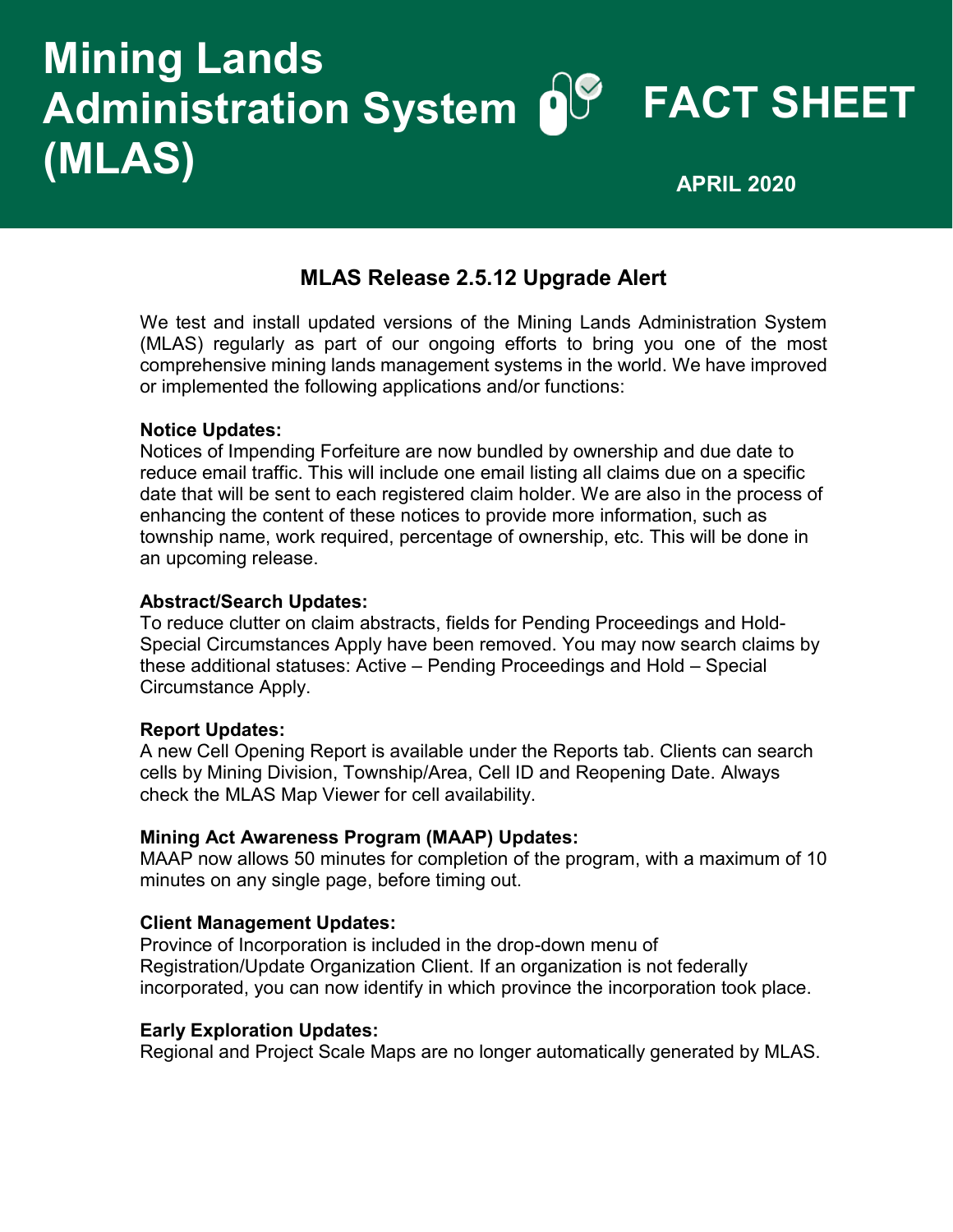# **Mining Lands Administration System FACT SHEET (MLAS) APRIL 2020**

# **MLAS Release 2.5.12 Upgrade Alert**

We test and install updated versions of the Mining Lands Administration System (MLAS) regularly as part of our ongoing efforts to bring you one of the most comprehensive mining lands management systems in the world. We have improved or implemented the following applications and/or functions:

#### **Notice Updates:**

Notices of Impending Forfeiture are now bundled by ownership and due date to reduce email traffic. This will include one email listing all claims due on a specific date that will be sent to each registered claim holder. We are also in the process of enhancing the content of these notices to provide more information, such as township name, work required, percentage of ownership, etc. This will be done in an upcoming release.

#### **Abstract/Search Updates:**

To reduce clutter on claim abstracts, fields for Pending Proceedings and Hold-Special Circumstances Apply have been removed. You may now search claims by these additional statuses: Active – Pending Proceedings and Hold – Special Circumstance Apply.

# **Report Updates:**

A new Cell Opening Report is available under the Reports tab. Clients can search cells by Mining Division, Township/Area, Cell ID and Reopening Date. Always check the MLAS Map Viewer for cell availability.

#### **Mining Act Awareness Program (MAAP) Updates:**

MAAP now allows 50 minutes for completion of the program, with a maximum of 10 minutes on any single page, before timing out.

#### **Client Management Updates:**

Province of Incorporation is included in the drop-down menu of Registration/Update Organization Client. If an organization is not federally incorporated, you can now identify in which province the incorporation took place.

#### **Early Exploration Updates:**

Regional and Project Scale Maps are no longer automatically generated by MLAS.